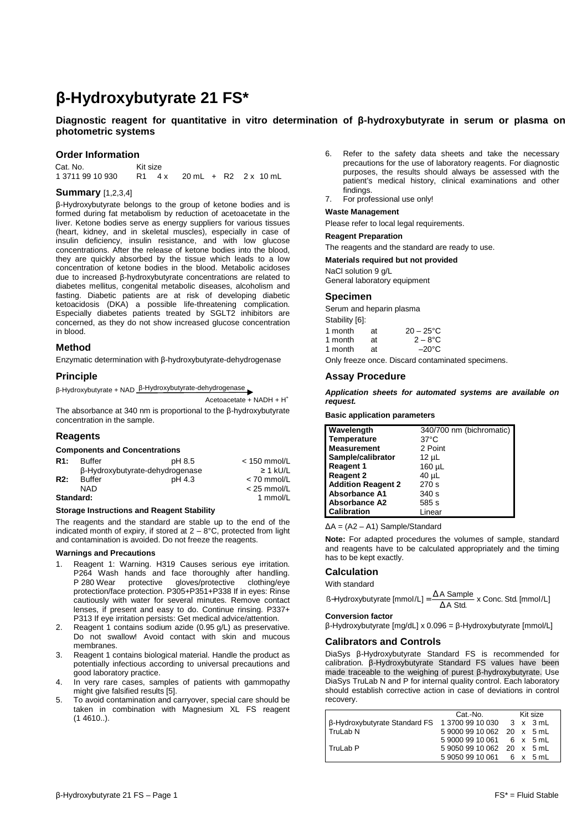# **β-Hydroxybutyrate 21 FS\***

# **Diagnostic reagent for quantitative in vitro determination of β-hydroxybutyrate in serum or plasma on photometric systems**

## **Order Information**

Cat. No. Kit size<br>1 3711 99 10 930 R1 4 R1 4x 20 mL + R2 2x 10 mL

# **Summary** [1,2,3,4]

β-Hydroxybutyrate belongs to the group of ketone bodies and is formed during fat metabolism by reduction of acetoacetate in the liver. Ketone bodies serve as energy suppliers for various tissues (heart, kidney, and in skeletal muscles), especially in case of insulin deficiency, insulin resistance, and with low glucose concentrations. After the release of ketone bodies into the blood, they are quickly absorbed by the tissue which leads to a low concentration of ketone bodies in the blood. Metabolic acidoses due to increased β-hydroxybutyrate concentrations are related to diabetes mellitus, congenital metabolic diseases, alcoholism and fasting. Diabetic patients are at risk of developing diabetic ketoacidosis (DKA) a possible life-threatening complication. Especially diabetes patients treated by SGLT2 inhibitors are concerned, as they do not show increased glucose concentration in blood.

## **Method**

Enzymatic determination with β-hydroxybutyrate-dehydrogenase

# **Principle**

β-Hydroxybutyrate + NAD β-Hydroxybutyrate-dehydrogenase

Acetoacetate +  $NADH + H^+$ The absorbance at 340 nm is proportional to the β-hydroxybutyrate concentration in the sample.

# **Reagents**

#### **Components and Concentrations**

| R1:        | <b>Buffer</b> | pH 8.5                          | $<$ 150 mmol/L |
|------------|---------------|---------------------------------|----------------|
|            |               | β-Hydroxybutyrate-dehydrogenase | $\geq$ 1 kU/L  |
| <b>R2:</b> | <b>Buffer</b> | pH 4.3                          | $< 70$ mmol/L  |
|            | NAD           |                                 | $<$ 25 mmol/L  |
| Standard:  |               |                                 | 1 mmol/L       |

## **Storage Instructions and Reagent Stability**

The reagents and the standard are stable up to the end of the indicated month of expiry, if stored at  $2 - 8$ °C, protected from light and contamination is avoided. Do not freeze the reagents.

## **Warnings and Precautions**

- Reagent 1: Warning. H319 Causes serious eye irritation. P264 Wash hands and face thoroughly after handling.<br>P 280 Wear protective gloves/protective clothing/eve gloves/protective protection/face protection. P305+P351+P338 If in eyes: Rinse cautiously with water for several minutes. Remove contact lenses, if present and easy to do. Continue rinsing. P337+ P313 If eye irritation persists: Get medical advice/attention.
- 2. Reagent 1 contains sodium azide (0.95 g/L) as preservative. Do not swallow! Avoid contact with skin and mucous membranes.
- 3. Reagent 1 contains biological material. Handle the product as potentially infectious according to universal precautions and good laboratory practice.
- 4. In very rare cases, samples of patients with gammopathy might give falsified results [5].
- 5. To avoid contamination and carryover, special care should be taken in combination with Magnesium XL FS reagent (1 4610..).
- 6. Refer to the safety data sheets and take the necessary precautions for the use of laboratory reagents. For diagnostic purposes, the results should always be assessed with the patient's medical history, clinical examinations and other findings.
- 7. For professional use only!

#### **Waste Management**

Please refer to local legal requirements.

# **Reagent Preparation**

The reagents and the standard are ready to use.

#### **Materials required but not provided**

NaCl solution 9 g/L

General laboratory equipment

# **Specimen**

Serum and heparin plasma

Stability [6]:

1 month at  $20 - 25^{\circ}$ C<br>1 month at  $2 - 8^{\circ}$ C 1 month at  $2-8$ °C<br>1 month at  $-20$ °C 1 month

Only freeze once. Discard contaminated specimens.

# **Assay Procedure**

**Application sheets for automated systems are available on request.** 

# **Basic application parameters**

| Wavelength                | 340/700 nm (bichromatic) |
|---------------------------|--------------------------|
| <b>Temperature</b>        | $37^{\circ}$ C           |
| <b>Measurement</b>        | 2 Point                  |
| Sample/calibrator         | 12 µL                    |
| <b>Reagent 1</b>          | 160 µL                   |
| <b>Reagent 2</b>          | $40 \mu L$               |
| <b>Addition Reagent 2</b> | 270 s                    |
| <b>Absorbance A1</b>      | 340 s                    |
| <b>Absorbance A2</b>      | 585 s                    |
| <b>Calibration</b>        | Linear                   |

∆A = (A2 – A1) Sample/Standard

**Note:** For adapted procedures the volumes of sample, standard and reagents have to be calculated appropriately and the timing has to be kept exactly.

# **Calculation**

With standard

ß–Hydroxybutyrate [mmol/L] =  $\frac{\Delta A \text{ Sample}}{\Delta A \text{ Std.}}$  x Conc. Std. [mmol/L]  $-$ Hydroxybutyrate [mmol/L] =  $\frac{\Delta}{\Delta}$ 

## **Conversion factor**

β-Hydroxybutyrate [mg/dL] x 0.096 = β-Hydroxybutyrate [mmol/L]

# **Calibrators and Controls**

DiaSys β-Hydroxybutyrate Standard FS is recommended for calibration. β-Hydroxybutyrate Standard FS values have been made traceable to the weighing of purest β-hydroxybutyrate. Use DiaSys TruLab N and P for internal quality control. Each laboratory should establish corrective action in case of deviations in control recovery.

|                                                         | Cat.-No.                   | Kit size |  |  |
|---------------------------------------------------------|----------------------------|----------|--|--|
| β-Hydroxybutyrate Standard FS 1 3700 99 10 030 3 x 3 mL |                            |          |  |  |
| TruLab <sub>N</sub>                                     | 5 9000 99 10 062 20 x 5 mL |          |  |  |
|                                                         | 590009910061 6 x 5 mL      |          |  |  |
| TruLab P                                                | 5 9050 99 10 062 20 x 5 mL |          |  |  |
|                                                         | 590509910061 6 x 5 mL      |          |  |  |